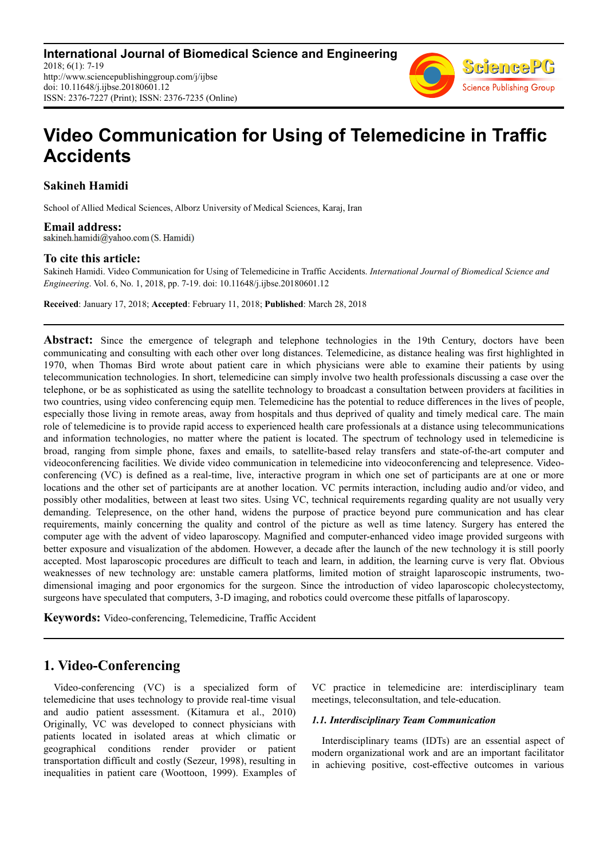**International Journal of Biomedical Science and Engineering** 2018; 6(1): 7-19 http://www.sciencepublishinggroup.com/j/ijbse doi: 10.11648/j.ijbse.20180601.12 ISSN: 2376-7227 (Print); ISSN: 2376-7235 (Online)



# **Video Communication for Using of Telemedicine in Traffic Accidents**

## **Sakineh Hamidi**

School of Allied Medical Sciences, Alborz University of Medical Sciences, Karaj, Iran

Email address:<br>sakineh.hamidi@yahoo.com (S. Hamidi)

## **To cite this article:**

Sakineh Hamidi. Video Communication for Using of Telemedicine in Traffic Accidents. *International Journal of Biomedical Science and Engineering*. Vol. 6, No. 1, 2018, pp. 7-19. doi: 10.11648/j.ijbse.20180601.12

**Received**: January 17, 2018; **Accepted**: February 11, 2018; **Published**: March 28, 2018

Abstract: Since the emergence of telegraph and telephone technologies in the 19th Century, doctors have been communicating and consulting with each other over long distances. Telemedicine, as distance healing was first highlighted in 1970, when Thomas Bird wrote about patient care in which physicians were able to examine their patients by using telecommunication technologies. In short, telemedicine can simply involve two health professionals discussing a case over the telephone, or be as sophisticated as using the satellite technology to broadcast a consultation between providers at facilities in two countries, using video conferencing equip men. Telemedicine has the potential to reduce differences in the lives of people, especially those living in remote areas, away from hospitals and thus deprived of quality and timely medical care. The main role of telemedicine is to provide rapid access to experienced health care professionals at a distance using telecommunications and information technologies, no matter where the patient is located. The spectrum of technology used in telemedicine is broad, ranging from simple phone, faxes and emails, to satellite-based relay transfers and state-of-the-art computer and videoconferencing facilities. We divide video communication in telemedicine into videoconferencing and telepresence. Videoconferencing (VC) is defined as a real-time, live, interactive program in which one set of participants are at one or more locations and the other set of participants are at another location. VC permits interaction, including audio and/or video, and possibly other modalities, between at least two sites. Using VC, technical requirements regarding quality are not usually very demanding. Telepresence, on the other hand, widens the purpose of practice beyond pure communication and has clear requirements, mainly concerning the quality and control of the picture as well as time latency. Surgery has entered the computer age with the advent of video laparoscopy. Magnified and computer-enhanced video image provided surgeons with better exposure and visualization of the abdomen. However, a decade after the launch of the new technology it is still poorly accepted. Most laparoscopic procedures are difficult to teach and learn, in addition, the learning curve is very flat. Obvious weaknesses of new technology are: unstable camera platforms, limited motion of straight laparoscopic instruments, twodimensional imaging and poor ergonomics for the surgeon. Since the introduction of video laparoscopic cholecystectomy, surgeons have speculated that computers, 3-D imaging, and robotics could overcome these pitfalls of laparoscopy.

**Keywords:** Video-conferencing, Telemedicine, Traffic Accident

## **1. Video-Conferencing**

Video-conferencing (VC) is a specialized form of telemedicine that uses technology to provide real-time visual and audio patient assessment. (Kitamura et al., 2010) Originally, VC was developed to connect physicians with patients located in isolated areas at which climatic or geographical conditions render provider or patient transportation difficult and costly (Sezeur, 1998), resulting in inequalities in patient care (Woottoon, 1999). Examples of

VC practice in telemedicine are: interdisciplinary team meetings, teleconsultation, and tele-education.

#### *1.1. Interdisciplinary Team Communication*

Interdisciplinary teams (IDTs) are an essential aspect of modern organizational work and are an important facilitator in achieving positive, cost-effective outcomes in various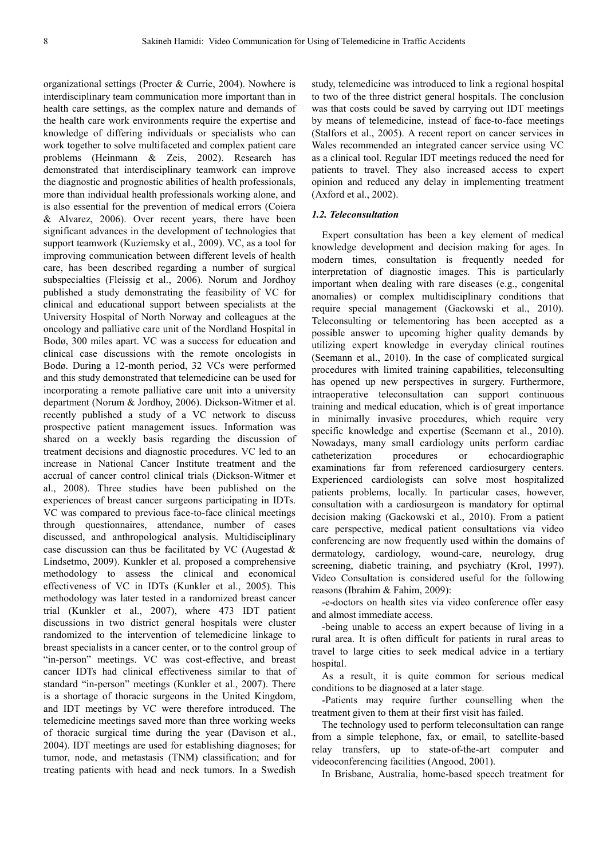organizational settings (Procter & Currie, 2004). Nowhere is interdisciplinary team communication more important than in health care settings, as the complex nature and demands of the health care work environments require the expertise and knowledge of differing individuals or specialists who can work together to solve multifaceted and complex patient care problems (Heinmann & Zeis, 2002). Research has demonstrated that interdisciplinary teamwork can improve the diagnostic and prognostic abilities of health professionals, more than individual health professionals working alone, and is also essential for the prevention of medical errors (Coiera & Alvarez, 2006). Over recent years, there have been significant advances in the development of technologies that support teamwork (Kuziemsky et al., 2009). VC, as a tool for improving communication between different levels of health care, has been described regarding a number of surgical subspecialties (Fleissig et al., 2006). Norum and Jordhoy published a study demonstrating the feasibility of VC for clinical and educational support between specialists at the University Hospital of North Norway and colleagues at the oncology and palliative care unit of the Nordland Hospital in Bodø, 300 miles apart. VC was a success for education and clinical case discussions with the remote oncologists in Bodø. During a 12-month period, 32 VCs were performed and this study demonstrated that telemedicine can be used for incorporating a remote palliative care unit into a university department (Norum & Jordhoy, 2006). Dickson-Witmer et al. recently published a study of a VC network to discuss prospective patient management issues. Information was shared on a weekly basis regarding the discussion of treatment decisions and diagnostic procedures. VC led to an increase in National Cancer Institute treatment and the accrual of cancer control clinical trials (Dickson-Witmer et al., 2008). Three studies have been published on the experiences of breast cancer surgeons participating in IDTs. VC was compared to previous face-to-face clinical meetings through questionnaires, attendance, number of cases discussed, and anthropological analysis. Multidisciplinary case discussion can thus be facilitated by VC (Augestad  $\&$ Lindsetmo, 2009). Kunkler et al. proposed a comprehensive methodology to assess the clinical and economical effectiveness of VC in IDTs (Kunkler et al., 2005). This methodology was later tested in a randomized breast cancer trial (Kunkler et al., 2007), where 473 IDT patient discussions in two district general hospitals were cluster randomized to the intervention of telemedicine linkage to breast specialists in a cancer center, or to the control group of "in-person" meetings. VC was cost-effective, and breast cancer IDTs had clinical effectiveness similar to that of standard "in-person" meetings (Kunkler et al., 2007). There is a shortage of thoracic surgeons in the United Kingdom, and IDT meetings by VC were therefore introduced. The telemedicine meetings saved more than three working weeks of thoracic surgical time during the year (Davison et al., 2004). IDT meetings are used for establishing diagnoses; for tumor, node, and metastasis (TNM) classification; and for treating patients with head and neck tumors. In a Swedish study, telemedicine was introduced to link a regional hospital to two of the three district general hospitals. The conclusion was that costs could be saved by carrying out IDT meetings by means of telemedicine, instead of face-to-face meetings (Stalfors et al., 2005). A recent report on cancer services in Wales recommended an integrated cancer service using VC as a clinical tool. Regular IDT meetings reduced the need for patients to travel. They also increased access to expert opinion and reduced any delay in implementing treatment (Axford et al., 2002).

#### *1.2. Teleconsultation*

Expert consultation has been a key element of medical knowledge development and decision making for ages. In modern times, consultation is frequently needed for interpretation of diagnostic images. This is particularly important when dealing with rare diseases (e.g., congenital anomalies) or complex multidisciplinary conditions that require special management (Gackowski et al., 2010). Teleconsulting or telementoring has been accepted as a possible answer to upcoming higher quality demands by utilizing expert knowledge in everyday clinical routines (Seemann et al., 2010). In the case of complicated surgical procedures with limited training capabilities, teleconsulting has opened up new perspectives in surgery. Furthermore, intraoperative teleconsultation can support continuous training and medical education, which is of great importance in minimally invasive procedures, which require very specific knowledge and expertise (Seemann et al., 2010). Nowadays, many small cardiology units perform cardiac catheterization procedures or echocardiographic examinations far from referenced cardiosurgery centers. Experienced cardiologists can solve most hospitalized patients problems, locally. In particular cases, however, consultation with a cardiosurgeon is mandatory for optimal decision making (Gackowski et al., 2010). From a patient care perspective, medical patient consultations via video conferencing are now frequently used within the domains of dermatology, cardiology, wound-care, neurology, drug screening, diabetic training, and psychiatry (Krol, 1997). Video Consultation is considered useful for the following reasons (Ibrahim & Fahim, 2009):

-e-doctors on health sites via video conference offer easy and almost immediate access.

-being unable to access an expert because of living in a rural area. It is often difficult for patients in rural areas to travel to large cities to seek medical advice in a tertiary hospital.

As a result, it is quite common for serious medical conditions to be diagnosed at a later stage.

-Patients may require further counselling when the treatment given to them at their first visit has failed.

The technology used to perform teleconsultation can range from a simple telephone, fax, or email, to satellite-based relay transfers, up to state-of-the-art computer and videoconferencing facilities (Angood, 2001).

In Brisbane, Australia, home-based speech treatment for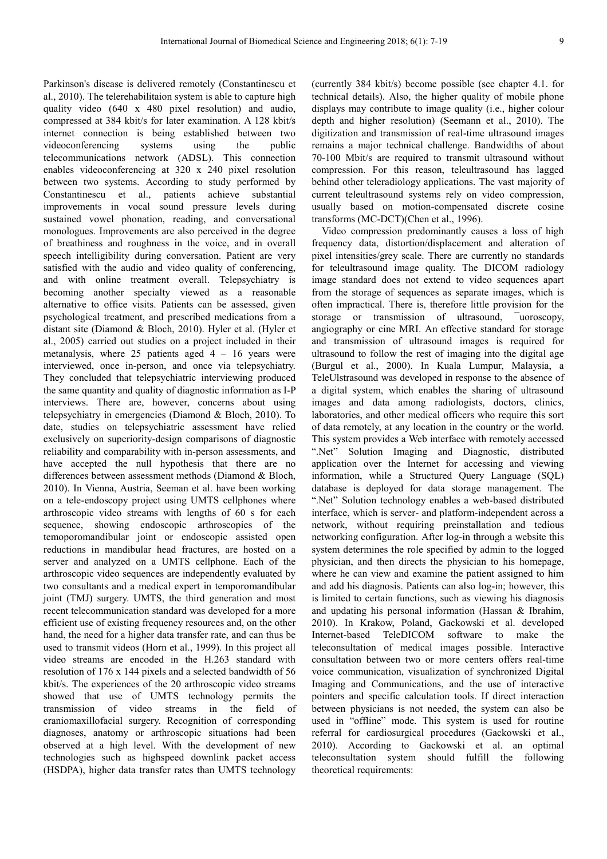Parkinson's disease is delivered remotely (Constantinescu et al., 2010). The telerehabilitaion system is able to capture high quality video (640 x 480 pixel resolution) and audio, compressed at 384 kbit/s for later examination. A 128 kbit/s internet connection is being established between two videoconferencing systems using the public telecommunications network (ADSL). This connection enables videoconferencing at 320 x 240 pixel resolution between two systems. According to study performed by Constantinescu et al., patients achieve substantial improvements in vocal sound pressure levels during sustained vowel phonation, reading, and conversational monologues. Improvements are also perceived in the degree of breathiness and roughness in the voice, and in overall speech intelligibility during conversation. Patient are very satisfied with the audio and video quality of conferencing, and with online treatment overall. Telepsychiatry is becoming another specialty viewed as a reasonable alternative to office visits. Patients can be assessed, given psychological treatment, and prescribed medications from a distant site (Diamond & Bloch, 2010). Hyler et al. (Hyler et al., 2005) carried out studies on a project included in their metanalysis, where  $25$  patients aged  $4 - 16$  years were interviewed, once in-person, and once via telepsychiatry. They concluded that telepsychiatric interviewing produced the same quantity and quality of diagnostic information as I-P interviews. There are, however, concerns about using telepsychiatry in emergencies (Diamond & Bloch, 2010). To date, studies on telepsychiatric assessment have relied exclusively on superiority-design comparisons of diagnostic reliability and comparability with in-person assessments, and have accepted the null hypothesis that there are no differences between assessment methods (Diamond & Bloch, 2010). In Vienna, Austria, Seeman et al. have been working on a tele-endoscopy project using UMTS cellphones where arthroscopic video streams with lengths of 60 s for each sequence, showing endoscopic arthroscopies of the temoporomandibular joint or endoscopic assisted open reductions in mandibular head fractures, are hosted on a server and analyzed on a UMTS cellphone. Each of the arthroscopic video sequences are independently evaluated by two consultants and a medical expert in temporomandibular joint (TMJ) surgery. UMTS, the third generation and most recent telecommunication standard was developed for a more efficient use of existing frequency resources and, on the other hand, the need for a higher data transfer rate, and can thus be used to transmit videos (Horn et al., 1999). In this project all video streams are encoded in the H.263 standard with resolution of 176 x 144 pixels and a selected bandwidth of 56 kbit/s. The experiences of the 20 arthroscopic video streams showed that use of UMTS technology permits the transmission of video streams in the field of craniomaxillofacial surgery. Recognition of corresponding diagnoses, anatomy or arthroscopic situations had been observed at a high level. With the development of new technologies such as highspeed downlink packet access (HSDPA), higher data transfer rates than UMTS technology

(currently 384 kbit/s) become possible (see chapter 4.1. for technical details). Also, the higher quality of mobile phone displays may contribute to image quality (i.e., higher colour depth and higher resolution) (Seemann et al., 2010). The digitization and transmission of real-time ultrasound images remains a major technical challenge. Bandwidths of about 70-100 Mbit/s are required to transmit ultrasound without compression. For this reason, teleultrasound has lagged behind other teleradiology applications. The vast majority of current teleultrasound systems rely on video compression, usually based on motion-compensated discrete cosine transforms (MC-DCT)(Chen et al., 1996).

Video compression predominantly causes a loss of high frequency data, distortion/displacement and alteration of pixel intensities/grey scale. There are currently no standards for teleultrasound image quality. The DICOM radiology image standard does not extend to video sequences apart from the storage of sequences as separate images, which is often impractical. There is, therefore little provision for the storage or transmission of ultrasound, uoroscopy, angiography or cine MRI. An effective standard for storage and transmission of ultrasound images is required for ultrasound to follow the rest of imaging into the digital age (Burgul et al., 2000). In Kuala Lumpur, Malaysia, a TeleUlstrasound was developed in response to the absence of a digital system, which enables the sharing of ultrasound images and data among radiologists, doctors, clinics, laboratories, and other medical officers who require this sort of data remotely, at any location in the country or the world. This system provides a Web interface with remotely accessed ".Net" Solution Imaging and Diagnostic, distributed application over the Internet for accessing and viewing information, while a Structured Query Language (SQL) database is deployed for data storage management. The ".Net" Solution technology enables a web-based distributed interface, which is server- and platform-independent across a network, without requiring preinstallation and tedious networking configuration. After log-in through a website this system determines the role specified by admin to the logged physician, and then directs the physician to his homepage, where he can view and examine the patient assigned to him and add his diagnosis. Patients can also log-in; however, this is limited to certain functions, such as viewing his diagnosis and updating his personal information (Hassan & Ibrahim, 2010). In Krakow, Poland, Gackowski et al. developed Internet-based TeleDICOM software to make the teleconsultation of medical images possible. Interactive consultation between two or more centers offers real-time voice communication, visualization of synchronized Digital Imaging and Communications, and the use of interactive pointers and specific calculation tools. If direct interaction between physicians is not needed, the system can also be used in "offline" mode. This system is used for routine referral for cardiosurgical procedures (Gackowski et al., 2010). According to Gackowski et al. an optimal teleconsultation system should fulfill the following theoretical requirements: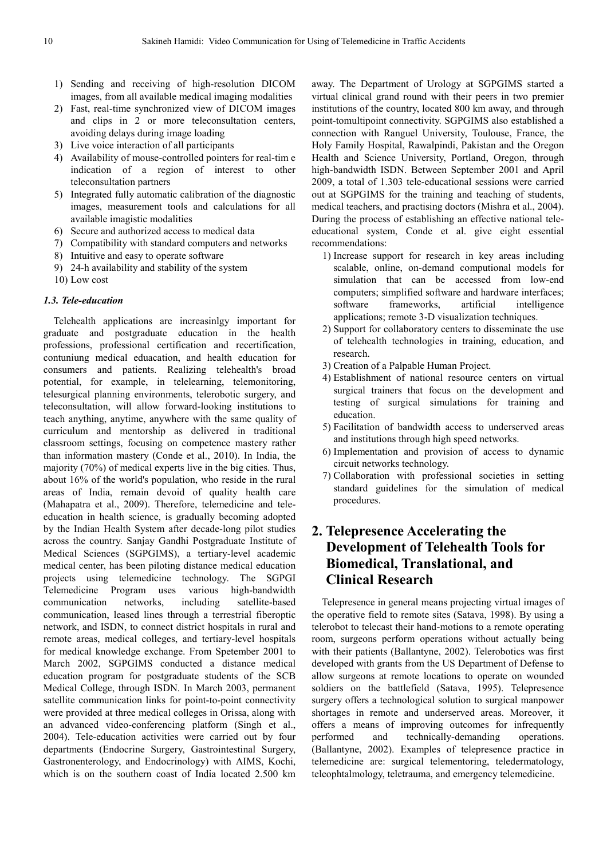- 1) Sending and receiving of high-resolution DICOM images, from all available medical imaging modalities
- 2) Fast, real-time synchronized view of DICOM images and clips in 2 or more teleconsultation centers, avoiding delays during image loading
- 3) Live voice interaction of all participants
- 4) Availability of mouse-controlled pointers for real-tim e indication of a region of interest to other teleconsultation partners
- 5) Integrated fully automatic calibration of the diagnostic images, measurement tools and calculations for all available imagistic modalities
- 6) Secure and authorized access to medical data
- 7) Compatibility with standard computers and networks
- 8) Intuitive and easy to operate software
- 9) 24-h availability and stability of the system
- 10) Low cost

#### *1.3. Tele-education*

Telehealth applications are increasinlgy important for graduate and postgraduate education in the health professions, professional certification and recertification, contuniung medical eduacation, and health education for consumers and patients. Realizing telehealth's broad potential, for example, in telelearning, telemonitoring, telesurgical planning environments, telerobotic surgery, and teleconsultation, will allow forward-looking institutions to teach anything, anytime, anywhere with the same quality of curriculum and mentorship as delivered in traditional classroom settings, focusing on competence mastery rather than information mastery (Conde et al., 2010). In India, the majority (70%) of medical experts live in the big cities. Thus, about 16% of the world's population, who reside in the rural areas of India, remain devoid of quality health care (Mahapatra et al., 2009). Therefore, telemedicine and teleeducation in health science, is gradually becoming adopted by the Indian Health System after decade-long pilot studies across the country. Sanjay Gandhi Postgraduate Institute of Medical Sciences (SGPGIMS), a tertiary-level academic medical center, has been piloting distance medical education projects using telemedicine technology. The SGPGI Telemedicine Program uses various high-bandwidth communication networks, including satellite-based communication, leased lines through a terrestrial fiberoptic network, and ISDN, to connect district hospitals in rural and remote areas, medical colleges, and tertiary-level hospitals for medical knowledge exchange. From Spetember 2001 to March 2002, SGPGIMS conducted a distance medical education program for postgraduate students of the SCB Medical College, through ISDN. In March 2003, permanent satellite communication links for point-to-point connectivity were provided at three medical colleges in Orissa, along with an advanced video-conferencing platform (Singh et al., 2004). Tele-education activities were carried out by four departments (Endocrine Surgery, Gastrointestinal Surgery, Gastronenterology, and Endocrinology) with AIMS, Kochi, which is on the southern coast of India located 2.500 km

away. The Department of Urology at SGPGIMS started a virtual clinical grand round with their peers in two premier institutions of the country, located 800 km away, and through point-tomultipoint connectivity. SGPGIMS also established a connection with Ranguel University, Toulouse, France, the Holy Family Hospital, Rawalpindi, Pakistan and the Oregon Health and Science University, Portland, Oregon, through high-bandwidth ISDN. Between September 2001 and April 2009, a total of 1.303 tele-educational sessions were carried out at SGPGIMS for the training and teaching of students, medical teachers, and practising doctors (Mishra et al., 2004). During the process of establishing an effective national teleeducational system, Conde et al. give eight essential recommendations:

- 1) Increase support for research in key areas including scalable, online, on-demand computional models for simulation that can be accessed from low-end computers; simplified software and hardware interfaces; software frameworks, artificial intelligence applications; remote 3-D visualization techniques.
- 2) Support for collaboratory centers to disseminate the use of telehealth technologies in training, education, and research.
- 3) Creation of a Palpable Human Project.
- 4) Establishment of national resource centers on virtual surgical trainers that focus on the development and testing of surgical simulations for training and education.
- 5) Facilitation of bandwidth access to underserved areas and institutions through high speed networks.
- 6) Implementation and provision of access to dynamic circuit networks technology.
- 7) Collaboration with professional societies in setting standard guidelines for the simulation of medical procedures.

## **2. Telepresence Accelerating the Development of Telehealth Tools for Biomedical, Translational, and Clinical Research**

Telepresence in general means projecting virtual images of the operative field to remote sites (Satava, 1998). By using a telerobot to telecast their hand-motions to a remote operating room, surgeons perform operations without actually being with their patients (Ballantyne, 2002). Telerobotics was first developed with grants from the US Department of Defense to allow surgeons at remote locations to operate on wounded soldiers on the battlefield (Satava, 1995). Telepresence surgery offers a technological solution to surgical manpower shortages in remote and underserved areas. Moreover, it offers a means of improving outcomes for infrequently performed and technically-demanding operations. (Ballantyne, 2002). Examples of telepresence practice in telemedicine are: surgical telementoring, teledermatology, teleophtalmology, teletrauma, and emergency telemedicine.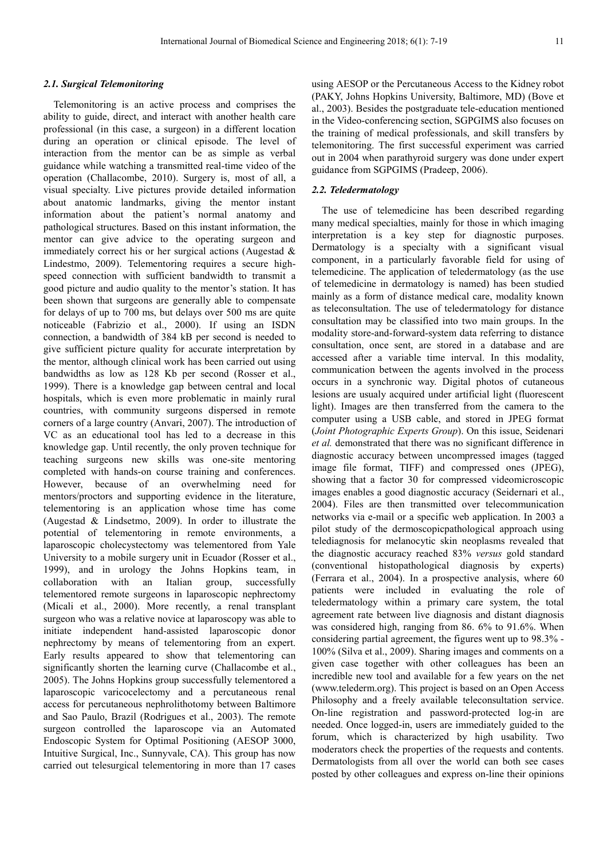#### *2.1. Surgical Telemonitoring*

Telemonitoring is an active process and comprises the ability to guide, direct, and interact with another health care professional (in this case, a surgeon) in a different location during an operation or clinical episode. The level of interaction from the mentor can be as simple as verbal guidance while watching a transmitted real-time video of the operation (Challacombe, 2010). Surgery is, most of all, a visual specialty. Live pictures provide detailed information about anatomic landmarks, giving the mentor instant information about the patient's normal anatomy and pathological structures. Based on this instant information, the mentor can give advice to the operating surgeon and immediately correct his or her surgical actions (Augestad & Lindestmo, 2009). Telementoring requires a secure highspeed connection with sufficient bandwidth to transmit a good picture and audio quality to the mentor's station. It has been shown that surgeons are generally able to compensate for delays of up to 700 ms, but delays over 500 ms are quite noticeable (Fabrizio et al., 2000). If using an ISDN connection, a bandwidth of 384 kB per second is needed to give sufficient picture quality for accurate interpretation by the mentor, although clinical work has been carried out using bandwidths as low as 128 Kb per second (Rosser et al., 1999). There is a knowledge gap between central and local hospitals, which is even more problematic in mainly rural countries, with community surgeons dispersed in remote corners of a large country (Anvari, 2007). The introduction of VC as an educational tool has led to a decrease in this knowledge gap. Until recently, the only proven technique for teaching surgeons new skills was one-site mentoring completed with hands-on course training and conferences. However, because of an overwhelming need for mentors/proctors and supporting evidence in the literature, telementoring is an application whose time has come (Augestad & Lindsetmo, 2009). In order to illustrate the potential of telementoring in remote environments, a laparoscopic cholecystectomy was telementored from Yale University to a mobile surgery unit in Ecuador (Rosser et al., 1999), and in urology the Johns Hopkins team, in collaboration with an Italian group, successfully telementored remote surgeons in laparoscopic nephrectomy (Micali et al., 2000). More recently, a renal transplant surgeon who was a relative novice at laparoscopy was able to initiate independent hand-assisted laparoscopic donor nephrectomy by means of telementoring from an expert. Early results appeared to show that telementoring can significantly shorten the learning curve (Challacombe et al., 2005). The Johns Hopkins group successfully telementored a laparoscopic varicocelectomy and a percutaneous renal access for percutaneous nephrolithotomy between Baltimore and Sao Paulo, Brazil (Rodrigues et al., 2003). The remote surgeon controlled the laparoscope via an Automated Endoscopic System for Optimal Positioning (AESOP 3000, Intuitive Surgical, Inc., Sunnyvale, CA). This group has now carried out telesurgical telementoring in more than 17 cases

using AESOP or the Percutaneous Access to the Kidney robot (PAKY, Johns Hopkins University, Baltimore, MD) (Bove et al., 2003). Besides the postgraduate tele-education mentioned in the Video-conferencing section, SGPGIMS also focuses on the training of medical professionals, and skill transfers by telemonitoring. The first successful experiment was carried out in 2004 when parathyroid surgery was done under expert guidance from SGPGIMS (Pradeep, 2006).

#### *2.2. Teledermatology*

The use of telemedicine has been described regarding many medical specialties, mainly for those in which imaging interpretation is a key step for diagnostic purposes. Dermatology is a specialty with a significant visual component, in a particularly favorable field for using of telemedicine. The application of teledermatology (as the use of telemedicine in dermatology is named) has been studied mainly as a form of distance medical care, modality known as teleconsultation. The use of teledermatology for distance consultation may be classified into two main groups. In the modality store-and-forward-system data referring to distance consultation, once sent, are stored in a database and are accessed after a variable time interval. In this modality, communication between the agents involved in the process occurs in a synchronic way. Digital photos of cutaneous lesions are usualy acquired under artificial light (fluorescent light). Images are then transferred from the camera to the computer using a USB cable, and stored in JPEG format (*Joint Photographic Experts Group*). On this issue, Seidenari *et al.* demonstrated that there was no significant difference in diagnostic accuracy between uncompressed images (tagged image file format, TIFF) and compressed ones (JPEG), showing that a factor 30 for compressed videomicroscopic images enables a good diagnostic accuracy (Seidernari et al., 2004). Files are then transmitted over telecommunication networks via e-mail or a specific web application. In 2003 a pilot study of the dermoscopicpathological approach using telediagnosis for melanocytic skin neoplasms revealed that the diagnostic accuracy reached 83% *versus* gold standard (conventional histopathological diagnosis by experts) (Ferrara et al., 2004). In a prospective analysis, where 60 patients were included in evaluating the role of teledermatology within a primary care system, the total agreement rate between live diagnosis and distant diagnosis was considered high, ranging from 86. 6% to 91.6%. When considering partial agreement, the figures went up to 98.3% - 100% (Silva et al., 2009). Sharing images and comments on a given case together with other colleagues has been an incredible new tool and available for a few years on the net (www.telederm.org). This project is based on an Open Access Philosophy and a freely available teleconsultation service. On-line registration and password-protected log-in are needed. Once logged-in, users are immediately guided to the forum, which is characterized by high usability. Two moderators check the properties of the requests and contents. Dermatologists from all over the world can both see cases posted by other colleagues and express on-line their opinions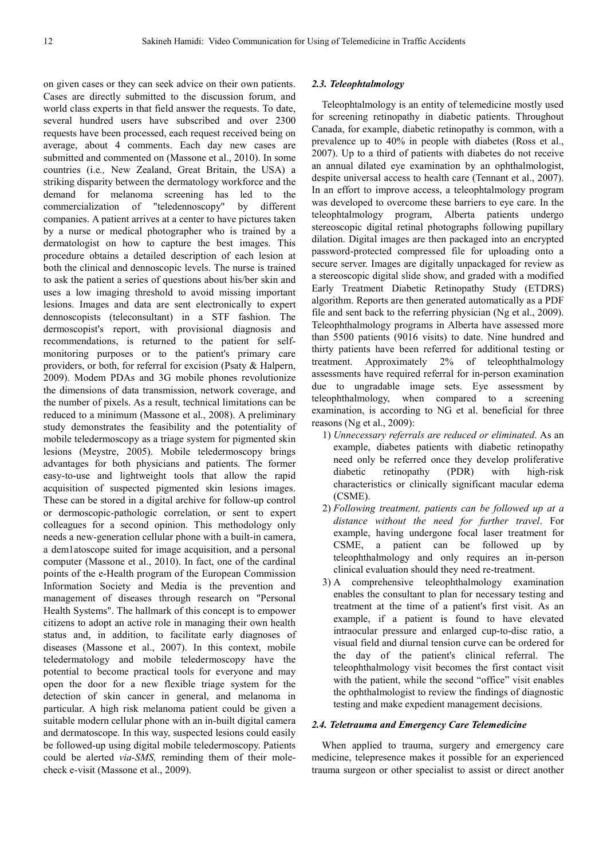on given cases or they can seek advice on their own patients. Cases are directly submitted to the discussion forum, and world class experts in that field answer the requests. To date, several hundred users have subscribed and over 2300 requests have been processed, each request received being on average, about 4 comments. Each day new cases are submitted and commented on (Massone et al., 2010). In some countries (i.e*.,* New Zealand, Great Britain, the USA) a striking disparity between the dermatology workforce and the demand for melanoma screening has led to the commercialization of "teledennoscopy" by different companies. A patient arrives at a center to have pictures taken by a nurse or medical photographer who is trained by a dermatologist on how to capture the best images. This procedure obtains a detailed description of each lesion at both the clinical and dennoscopic levels. The nurse is trained to ask the patient a series of questions about his/ber skin and uses a low imaging threshold to avoid missing important lesions. Images and data are sent electronically to expert dennoscopists (teleconsultant) in a STF fashion. The dermoscopist's report, with provisional diagnosis and recommendations, is returned to the patient for selfmonitoring purposes or to the patient's primary care providers, or both, for referral for excision (Psaty & Halpern, 2009). Modem PDAs and 3G mobile phones revolutionize the dimensions of data transmission, network coverage, and the number of pixels. As a result, technical limitations can be reduced to a minimum (Massone et al., 2008). A preliminary study demonstrates the feasibility and the potentiality of mobile teledermoscopy as a triage system for pigmented skin lesions (Meystre, 2005). Mobile teledermoscopy brings advantages for both physicians and patients. The former easy-to-use and lightweight tools that allow the rapid acquisition of suspected pigmented skin lesions images. These can be stored in a digital archive for follow-up control or dermoscopic-pathologic correlation, or sent to expert colleagues for a second opinion. This methodology only needs a new-generation cellular phone with a built-in camera, a dem1atoscope suited for image acquisition, and a personal computer (Massone et al., 2010). In fact, one of the cardinal points of the e-Health program of the European Commission Information Society and Media is the prevention and management of diseases through research on "Personal Health Systems". The hallmark of this concept is to empower citizens to adopt an active role in managing their own health status and, in addition, to facilitate early diagnoses of diseases (Massone et al., 2007). In this context, mobile teledermatology and mobile teledermoscopy have the potential to become practical tools for everyone and may open the door for a new flexible triage system for the detection of skin cancer in general, and melanoma in particular. A high risk melanoma patient could be given a suitable modern cellular phone with an in-built digital camera and dermatoscope. In this way, suspected lesions could easily be followed-up using digital mobile teledermoscopy. Patients could be alerted *via-SMS,* reminding them of their molecheck e-visit (Massone et al., 2009).

#### *2.3. Teleophtalmology*

Teleophtalmology is an entity of telemedicine mostly used for screening retinopathy in diabetic patients. Throughout Canada, for example, diabetic retinopathy is common, with a prevalence up to 40% in people with diabetes (Ross et al., 2007). Up to a third of patients with diabetes do not receive an annual dilated eye examination by an ophthalmologist, despite universal access to health care (Tennant et al., 2007). In an effort to improve access, a teleophtalmology program was developed to overcome these barriers to eye care. In the teleophtalmology program, Alberta patients undergo stereoscopic digital retinal photographs following pupillary dilation. Digital images are then packaged into an encrypted password-protected compressed file for uploading onto a secure server. Images are digitally unpackaged for review as a stereoscopic digital slide show, and graded with a modified Early Treatment Diabetic Retinopathy Study (ETDRS) algorithm. Reports are then generated automatically as a PDF file and sent back to the referring physician (Ng et al., 2009). Teleophthalmology programs in Alberta have assessed more than 5500 patients (9016 visits) to date. Nine hundred and thirty patients have been referred for additional testing or treatment. Approximately 2% of teleophthalmology assessments have required referral for in-person examination due to ungradable image sets. Eye assessment by teleophthalmology, when compared to a screening examination, is according to NG et al. beneficial for three reasons (Ng et al., 2009):

- 1) *Unnecessary referrals are reduced or eliminated*. As an example, diabetes patients with diabetic retinopathy need only be referred once they develop proliferative diabetic retinopathy (PDR) with high-risk characteristics or clinically significant macular edema (CSME).
- 2) *Following treatment, patients can be followed up at a distance without the need for further travel*. For example, having undergone focal laser treatment for CSME, a patient can be followed up by teleophthalmology and only requires an in-person clinical evaluation should they need re-treatment.
- 3) A comprehensive teleophthalmology examination enables the consultant to plan for necessary testing and treatment at the time of a patient's first visit. As an example, if a patient is found to have elevated intraocular pressure and enlarged cup-to-disc ratio, a visual field and diurnal tension curve can be ordered for the day of the patient's clinical referral. The teleophthalmology visit becomes the first contact visit with the patient, while the second "office" visit enables the ophthalmologist to review the findings of diagnostic testing and make expedient management decisions.

#### *2.4. Teletrauma and Emergency Care Telemedicine*

When applied to trauma, surgery and emergency care medicine, telepresence makes it possible for an experienced trauma surgeon or other specialist to assist or direct another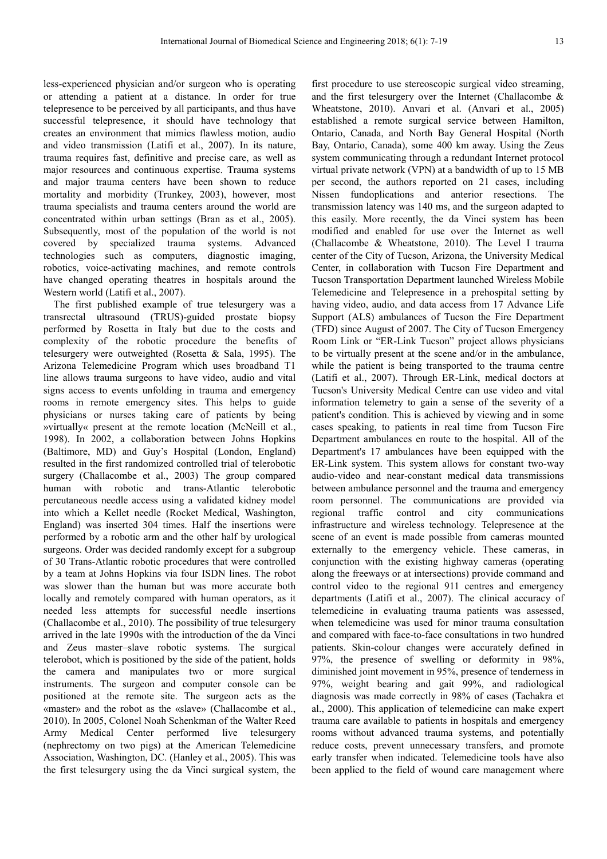less-experienced physician and/or surgeon who is operating or attending a patient at a distance. In order for true telepresence to be perceived by all participants, and thus have successful telepresence, it should have technology that creates an environment that mimics flawless motion, audio and video transmission (Latifi et al., 2007). In its nature, trauma requires fast, definitive and precise care, as well as major resources and continuous expertise. Trauma systems and major trauma centers have been shown to reduce mortality and morbidity (Trunkey, 2003), however, most trauma specialists and trauma centers around the world are concentrated within urban settings (Bran as et al., 2005). Subsequently, most of the population of the world is not covered by specialized trauma systems. Advanced technologies such as computers, diagnostic imaging, robotics, voice-activating machines, and remote controls have changed operating theatres in hospitals around the Western world (Latifi et al., 2007).

The first published example of true telesurgery was a transrectal ultrasound (TRUS)-guided prostate biopsy performed by Rosetta in Italy but due to the costs and complexity of the robotic procedure the benefits of telesurgery were outweighted (Rosetta & Sala, 1995). The Arizona Telemedicine Program which uses broadband T1 line allows trauma surgeons to have video, audio and vital signs access to events unfolding in trauma and emergency rooms in remote emergency sites. This helps to guide physicians or nurses taking care of patients by being »virtually« present at the remote location (McNeill et al., 1998). In 2002, a collaboration between Johns Hopkins (Baltimore, MD) and Guy's Hospital (London, England) resulted in the first randomized controlled trial of telerobotic surgery (Challacombe et al., 2003) The group compared human with robotic and trans-Atlantic telerobotic percutaneous needle access using a validated kidney model into which a Kellet needle (Rocket Medical, Washington, England) was inserted 304 times. Half the insertions were performed by a robotic arm and the other half by urological surgeons. Order was decided randomly except for a subgroup of 30 Trans-Atlantic robotic procedures that were controlled by a team at Johns Hopkins via four ISDN lines. The robot was slower than the human but was more accurate both locally and remotely compared with human operators, as it needed less attempts for successful needle insertions (Challacombe et al., 2010). The possibility of true telesurgery arrived in the late 1990s with the introduction of the da Vinci and Zeus master–slave robotic systems. The surgical telerobot, which is positioned by the side of the patient, holds the camera and manipulates two or more surgical instruments. The surgeon and computer console can be positioned at the remote site. The surgeon acts as the «master» and the robot as the «slave» (Challacombe et al., 2010). In 2005, Colonel Noah Schenkman of the Walter Reed Army Medical Center performed live telesurgery (nephrectomy on two pigs) at the American Telemedicine Association, Washington, DC. (Hanley et al., 2005). This was the first telesurgery using the da Vinci surgical system, the

first procedure to use stereoscopic surgical video streaming, and the first telesurgery over the Internet (Challacombe & Wheatstone, 2010). Anvari et al. (Anvari et al., 2005) established a remote surgical service between Hamilton, Ontario, Canada, and North Bay General Hospital (North Bay, Ontario, Canada), some 400 km away. Using the Zeus system communicating through a redundant Internet protocol virtual private network (VPN) at a bandwidth of up to 15 MB per second, the authors reported on 21 cases, including Nissen fundoplications and anterior resections. The transmission latency was 140 ms, and the surgeon adapted to this easily. More recently, the da Vinci system has been modified and enabled for use over the Internet as well (Challacombe & Wheatstone, 2010). The Level I trauma center of the City of Tucson, Arizona, the University Medical Center, in collaboration with Tucson Fire Department and Tucson Transportation Department launched Wireless Mobile Telemedicine and Telepresence in a prehospital setting by having video, audio, and data access from 17 Advance Life Support (ALS) ambulances of Tucson the Fire Department (TFD) since August of 2007. The City of Tucson Emergency Room Link or "ER-Link Tucson" project allows physicians to be virtually present at the scene and/or in the ambulance, while the patient is being transported to the trauma centre (Latifi et al., 2007). Through ER-Link, medical doctors at Tucson's University Medical Centre can use video and vital information telemetry to gain a sense of the severity of a patient's condition. This is achieved by viewing and in some cases speaking, to patients in real time from Tucson Fire Department ambulances en route to the hospital. All of the Department's 17 ambulances have been equipped with the ER-Link system. This system allows for constant two-way audio-video and near-constant medical data transmissions between ambulance personnel and the trauma and emergency room personnel. The communications are provided via regional traffic control and city communications infrastructure and wireless technology. Telepresence at the scene of an event is made possible from cameras mounted externally to the emergency vehicle. These cameras, in conjunction with the existing highway cameras (operating along the freeways or at intersections) provide command and control video to the regional 911 centres and emergency departments (Latifi et al., 2007). The clinical accuracy of telemedicine in evaluating trauma patients was assessed, when telemedicine was used for minor trauma consultation and compared with face-to-face consultations in two hundred patients. Skin-colour changes were accurately defined in 97%, the presence of swelling or deformity in 98%, diminished joint movement in 95%, presence of tenderness in 97%, weight bearing and gait 99%, and radiological diagnosis was made correctly in 98% of cases (Tachakra et al., 2000). This application of telemedicine can make expert trauma care available to patients in hospitals and emergency rooms without advanced trauma systems, and potentially reduce costs, prevent unnecessary transfers, and promote early transfer when indicated. Telemedicine tools have also been applied to the field of wound care management where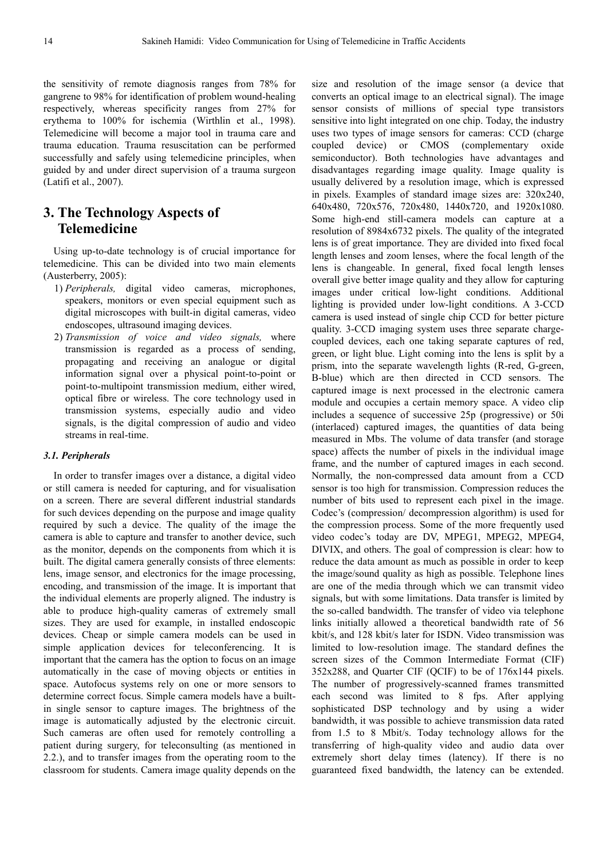the sensitivity of remote diagnosis ranges from 78% for gangrene to 98% for identification of problem wound-healing respectively, whereas specificity ranges from 27% for erythema to 100% for ischemia (Wirthlin et al., 1998). Telemedicine will become a major tool in trauma care and trauma education. Trauma resuscitation can be performed successfully and safely using telemedicine principles, when guided by and under direct supervision of a trauma surgeon (Latifi et al., 2007).

## **3. The Technology Aspects of Telemedicine**

Using up-to-date technology is of crucial importance for telemedicine. This can be divided into two main elements (Austerberry, 2005):

- 1) *Peripherals,* digital video cameras, microphones, speakers, monitors or even special equipment such as digital microscopes with built-in digital cameras, video endoscopes, ultrasound imaging devices.
- 2) *Transmission of voice and video signals,* where transmission is regarded as a process of sending, propagating and receiving an analogue or digital information signal over a physical point-to-point or point-to-multipoint transmission medium, either wired, optical fibre or wireless. The core technology used in transmission systems, especially audio and video signals, is the digital compression of audio and video streams in real-time.

#### *3.1. Peripherals*

In order to transfer images over a distance, a digital video or still camera is needed for capturing, and for visualisation on a screen. There are several different industrial standards for such devices depending on the purpose and image quality required by such a device. The quality of the image the camera is able to capture and transfer to another device, such as the monitor, depends on the components from which it is built. The digital camera generally consists of three elements: lens, image sensor, and electronics for the image processing, encoding, and transmission of the image. It is important that the individual elements are properly aligned. The industry is able to produce high-quality cameras of extremely small sizes. They are used for example, in installed endoscopic devices. Cheap or simple camera models can be used in simple application devices for teleconferencing. It is important that the camera has the option to focus on an image automatically in the case of moving objects or entities in space. Autofocus systems rely on one or more sensors to determine correct focus. Simple camera models have a builtin single sensor to capture images. The brightness of the image is automatically adjusted by the electronic circuit. Such cameras are often used for remotely controlling a patient during surgery, for teleconsulting (as mentioned in 2.2.), and to transfer images from the operating room to the classroom for students. Camera image quality depends on the

size and resolution of the image sensor (a device that converts an optical image to an electrical signal). The image sensor consists of millions of special type transistors sensitive into light integrated on one chip. Today, the industry uses two types of image sensors for cameras: CCD (charge coupled device) or CMOS (complementary oxide semiconductor). Both technologies have advantages and disadvantages regarding image quality. Image quality is usually delivered by a resolution image, which is expressed in pixels. Examples of standard image sizes are: 320x240, 640x480, 720x576, 720x480, 1440x720, and 1920x1080. Some high-end still-camera models can capture at a resolution of 8984x6732 pixels. The quality of the integrated lens is of great importance. They are divided into fixed focal length lenses and zoom lenses, where the focal length of the lens is changeable. In general, fixed focal length lenses overall give better image quality and they allow for capturing images under critical low-light conditions. Additional lighting is provided under low-light conditions. A 3-CCD camera is used instead of single chip CCD for better picture quality. 3-CCD imaging system uses three separate chargecoupled devices, each one taking separate captures of red, green, or light blue. Light coming into the lens is split by a prism, into the separate wavelength lights (R-red, G-green, B-blue) which are then directed in CCD sensors. The captured image is next processed in the electronic camera module and occupies a certain memory space. A video clip includes a sequence of successive 25p (progressive) or 50i (interlaced) captured images, the quantities of data being measured in Mbs. The volume of data transfer (and storage space) affects the number of pixels in the individual image frame, and the number of captured images in each second. Normally, the non-compressed data amount from a CCD sensor is too high for transmission. Compression reduces the number of bits used to represent each pixel in the image. Codec's (compression/ decompression algorithm) is used for the compression process. Some of the more frequently used video codec's today are DV, MPEG1, MPEG2, MPEG4, DIVIX, and others. The goal of compression is clear: how to reduce the data amount as much as possible in order to keep the image/sound quality as high as possible. Telephone lines are one of the media through which we can transmit video signals, but with some limitations. Data transfer is limited by the so-called bandwidth. The transfer of video via telephone links initially allowed a theoretical bandwidth rate of 56 kbit/s, and 128 kbit/s later for ISDN. Video transmission was limited to low-resolution image. The standard defines the screen sizes of the Common Intermediate Format (CIF) 352x288, and Quarter CIF (QCIF) to be of 176x144 pixels. The number of progressively-scanned frames transmitted each second was limited to 8 fps. After applying sophisticated DSP technology and by using a wider bandwidth, it was possible to achieve transmission data rated from 1.5 to 8 Mbit/s. Today technology allows for the transferring of high-quality video and audio data over extremely short delay times (latency). If there is no guaranteed fixed bandwidth, the latency can be extended.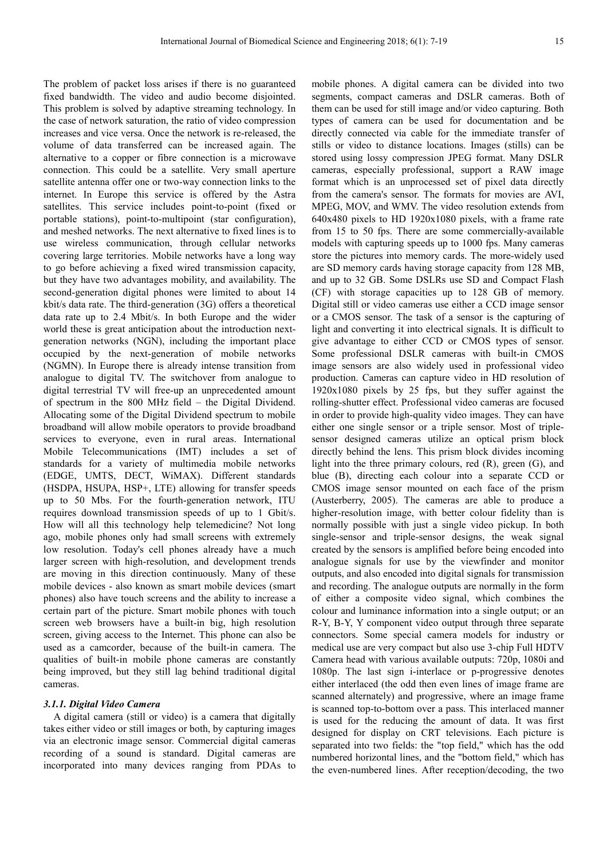The problem of packet loss arises if there is no guaranteed fixed bandwidth. The video and audio become disjointed. This problem is solved by adaptive streaming technology. In the case of network saturation, the ratio of video compression increases and vice versa. Once the network is re-released, the volume of data transferred can be increased again. The alternative to a copper or fibre connection is a microwave connection. This could be a satellite. Very small aperture satellite antenna offer one or two-way connection links to the internet. In Europe this service is offered by the Astra satellites. This service includes point-to-point (fixed or portable stations), point-to-multipoint (star configuration), and meshed networks. The next alternative to fixed lines is to use wireless communication, through cellular networks covering large territories. Mobile networks have a long way to go before achieving a fixed wired transmission capacity, but they have two advantages mobility, and availability. The second-generation digital phones were limited to about 14 kbit/s data rate. The third-generation (3G) offers a theoretical data rate up to 2.4 Mbit/s. In both Europe and the wider world these is great anticipation about the introduction nextgeneration networks (NGN), including the important place occupied by the next-generation of mobile networks (NGMN). In Europe there is already intense transition from analogue to digital TV. The switchover from analogue to digital terrestrial TV will free-up an unprecedented amount of spectrum in the 800 MHz field – the Digital Dividend. Allocating some of the Digital Dividend spectrum to mobile broadband will allow mobile operators to provide broadband services to everyone, even in rural areas. International Mobile Telecommunications (IMT) includes a set of standards for a variety of multimedia mobile networks (EDGE, UMTS, DECT, WiMAX). Different standards (HSDPA, HSUPA, HSP+, LTE) allowing for transfer speeds up to 50 Mbs. For the fourth-generation network, ITU requires download transmission speeds of up to 1 Gbit/s. How will all this technology help telemedicine? Not long ago, mobile phones only had small screens with extremely low resolution. Today's cell phones already have a much larger screen with high-resolution, and development trends are moving in this direction continuously. Many of these mobile devices - also known as smart mobile devices (smart phones) also have touch screens and the ability to increase a certain part of the picture. Smart mobile phones with touch screen web browsers have a built-in big, high resolution screen, giving access to the Internet. This phone can also be used as a camcorder, because of the built-in camera. The qualities of built-in mobile phone cameras are constantly being improved, but they still lag behind traditional digital cameras.

### *3.1.1. Digital Video Camera*

A digital camera (still or video) is a camera that digitally takes either video or still images or both, by capturing images via an electronic image sensor. Commercial digital cameras recording of a sound is standard. Digital cameras are incorporated into many devices ranging from PDAs to

mobile phones. A digital camera can be divided into two segments, compact cameras and DSLR cameras. Both of them can be used for still image and/or video capturing. Both types of camera can be used for documentation and be directly connected via cable for the immediate transfer of stills or video to distance locations. Images (stills) can be stored using lossy compression JPEG format. Many DSLR cameras, especially professional, support a RAW image format which is an unprocessed set of pixel data directly from the camera's sensor. The formats for movies are AVI, MPEG, MOV, and WMV. The video resolution extends from 640x480 pixels to HD 1920x1080 pixels, with a frame rate from 15 to 50 fps. There are some commercially-available models with capturing speeds up to 1000 fps. Many cameras store the pictures into memory cards. The more-widely used are SD memory cards having storage capacity from 128 MB, and up to 32 GB. Some DSLRs use SD and Compact Flash (CF) with storage capacities up to 128 GB of memory. Digital still or video cameras use either a CCD image sensor or a CMOS sensor. The task of a sensor is the capturing of light and converting it into electrical signals. It is difficult to give advantage to either CCD or CMOS types of sensor. Some professional DSLR cameras with built-in CMOS image sensors are also widely used in professional video production. Cameras can capture video in HD resolution of 1920x1080 pixels by 25 fps, but they suffer against the rolling-shutter effect. Professional video cameras are focused in order to provide high-quality video images. They can have either one single sensor or a triple sensor. Most of triplesensor designed cameras utilize an optical prism block directly behind the lens. This prism block divides incoming light into the three primary colours, red (R), green (G), and blue (B), directing each colour into a separate CCD or CMOS image sensor mounted on each face of the prism (Austerberry, 2005). The cameras are able to produce a higher-resolution image, with better colour fidelity than is normally possible with just a single video pickup. In both single-sensor and triple-sensor designs, the weak signal created by the sensors is amplified before being encoded into analogue signals for use by the viewfinder and monitor outputs, and also encoded into digital signals for transmission and recording. The analogue outputs are normally in the form of either a composite video signal, which combines the colour and luminance information into a single output; or an R-Y, B-Y, Y component video output through three separate connectors. Some special camera models for industry or medical use are very compact but also use 3-chip Full HDTV Camera head with various available outputs: 720p, 1080i and 1080p. The last sign i-interlace or p-progressive denotes either interlaced (the odd then even lines of image frame are scanned alternately) and progressive, where an image frame is scanned top-to-bottom over a pass. This interlaced manner is used for the reducing the amount of data. It was first designed for display on CRT televisions. Each picture is separated into two fields: the "top field," which has the odd numbered horizontal lines, and the "bottom field," which has the even-numbered lines. After reception/decoding, the two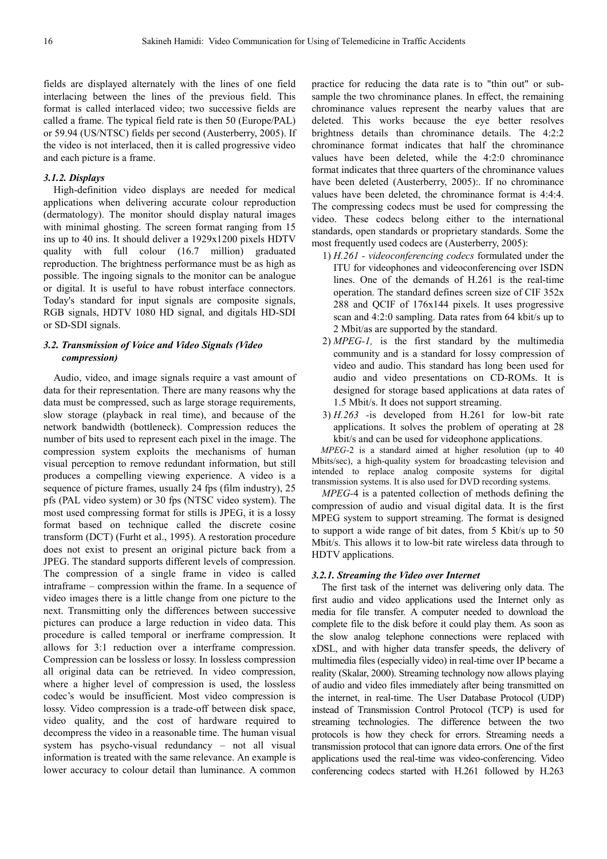fields are displayed alternately with the lines of one field interlacing between the lines of the previous field. This format is called interlaced video; two successive fields are called a frame. The typical field rate is then 50 (Europe/PAL) or 59.94 (US/NTSC) fields per second (Austerberry, 2005). If the video is not interlaced, then it is called progressive video and each picture is a frame.

#### *3.1.2. Displays*

High-definition video displays are needed for medical applications when delivering accurate colour reproduction (dermatology). The monitor should display natural images with minimal ghosting. The screen format ranging from 15 ins up to 40 ins. It should deliver a 1929x1200 pixels HDTV quality with full colour (16.7 million) graduated reproduction. The brightness performance must be as high as possible. The ingoing signals to the monitor can be analogue or digital. It is useful to have robust interface connectors. Today's standard for input signals are composite signals, RGB signals, HDTV 1080 HD signal, and digitals HD-SDI or SD-SDI signals.

#### *3.2. Transmission of Voice and Video Signals (Video compression)*

Audio, video, and image signals require a vast amount of data for their representation. There are many reasons why the data must be compressed, such as large storage requirements, slow storage (playback in real time), and because of the network bandwidth (bottleneck). Compression reduces the number of bits used to represent each pixel in the image. The compression system exploits the mechanisms of human visual perception to remove redundant information, but still produces a compelling viewing experience. A video is a sequence of picture frames, usually 24 fps (film industry), 25 pfs (PAL video system) or 30 fps (NTSC video system). The most used compressing format for stills is JPEG, it is a lossy format based on technique called the discrete cosine transform (DCT) (Furht et al., 1995). A restoration procedure does not exist to present an original picture back from a JPEG. The standard supports different levels of compression. The compression of a single frame in video is called intraframe – compression within the frame. In a sequence of video images there is a little change from one picture to the next. Transmitting only the differences between successive pictures can produce a large reduction in video data. This procedure is called temporal or inerframe compression. It allows for 3:1 reduction over a interframe compression. Compression can be lossless or lossy. In lossless compression all original data can be retrieved. In video compression, where a higher level of compression is used, the lossless codec's would be insufficient. Most video compression is lossy. Video compression is a trade-off between disk space, video quality, and the cost of hardware required to decompress the video in a reasonable time. The human visual system has psycho-visual redundancy – not all visual information is treated with the same relevance. An example is lower accuracy to colour detail than luminance. A common

practice for reducing the data rate is to "thin out" or subsample the two chrominance planes. In effect, the remaining chrominance values represent the nearby values that are deleted. This works because the eye better resolves brightness details than chrominance details. The 4:2:2 chrominance format indicates that half the chrominance values have been deleted, while the 4:2:0 chrominance format indicates that three quarters of the chrominance values have been deleted (Austerberry, 2005): If no chrominance values have been deleted, the chrominance format is 4:4:4. The compressing codecs must be used for compressing the video. These codecs belong either to the international standards, open standards or proprietary standards. Some the most frequently used codecs are (Austerberry, 2005):

- 1) *H.261 videoconferencing codecs* formulated under the ITU for videophones and videoconferencing over ISDN lines. One of the demands of H.261 is the real-time operation. The standard defines screen size of CIF 352x 288 and QCIF of 176x144 pixels. It uses progressive scan and 4:2:0 sampling. Data rates from 64 kbit/s up to 2 Mbit/as are supported by the standard.
- 2) *MPEG-1,* is the first standard by the multimedia community and is a standard for lossy compression of video and audio. This standard has long been used for audio and video presentations on CD-ROMs. It is designed for storage based applications at data rates of 1.5 Mbit/s. It does not support streaming.
- 3) *H.263 -*is developed from H.261 for low-bit rate applications. It solves the problem of operating at 28 kbit/s and can be used for videophone applications.

*MPEG-*2 is a standard aimed at higher resolution (up to 40 Mbits/sec), a high-quality system for broadcasting television and intended to replace analog composite systems for digital transmission systems. It is also used for DVD recording systems.

*MPEG-*4 is a patented collection of methods defining the compression of audio and visual digital data. It is the first MPEG system to support streaming. The format is designed to support a wide range of bit dates, from 5 Kbit/s up to 50 Mbit/s. This allows it to low-bit rate wireless data through to HDTV applications.

#### *3.2.1. Streaming the Video over Internet*

The first task of the internet was delivering only data. The first audio and video applications used the Internet only as media for file transfer. A computer needed to download the complete file to the disk before it could play them. As soon as the slow analog telephone connections were replaced with xDSL, and with higher data transfer speeds, the delivery of multimedia files (especially video) in real-time over IP became a reality (Skalar, 2000). Streaming technology now allows playing of audio and video files immediately after being transmitted on the internet, in real-time. The User Database Protocol (UDP) instead of Transmission Control Protocol (TCP) is used for streaming technologies. The difference between the two protocols is how they check for errors. Streaming needs a transmission protocol that can ignore data errors. One of the first applications used the real-time was video-conferencing. Video conferencing codecs started with H.261 followed by H.263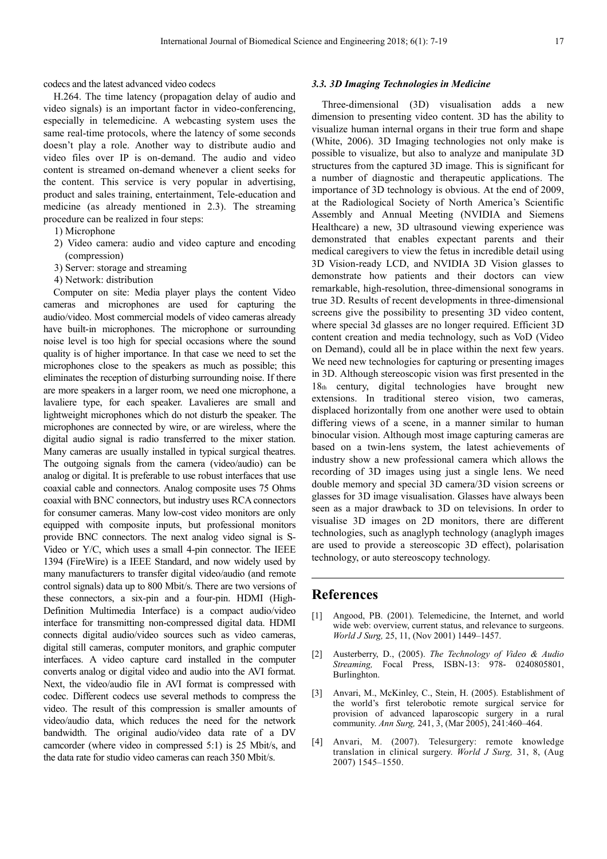codecs and the latest advanced video codecs

H.264. The time latency (propagation delay of audio and video signals) is an important factor in video-conferencing, especially in telemedicine. A webcasting system uses the same real-time protocols, where the latency of some seconds doesn't play a role. Another way to distribute audio and video files over IP is on-demand. The audio and video content is streamed on-demand whenever a client seeks for the content. This service is very popular in advertising, product and sales training, entertainment, Tele-education and medicine (as already mentioned in 2.3). The streaming procedure can be realized in four steps:

- 1) Microphone
- 2) Video camera: audio and video capture and encoding (compression)
- 3) Server: storage and streaming
- 4) Network: distribution

Computer on site: Media player plays the content Video cameras and microphones are used for capturing the audio/video. Most commercial models of video cameras already have built-in microphones. The microphone or surrounding noise level is too high for special occasions where the sound quality is of higher importance. In that case we need to set the microphones close to the speakers as much as possible; this eliminates the reception of disturbing surrounding noise. If there are more speakers in a larger room, we need one microphone, a lavaliere type, for each speaker. Lavalieres are small and lightweight microphones which do not disturb the speaker. The microphones are connected by wire, or are wireless, where the digital audio signal is radio transferred to the mixer station. Many cameras are usually installed in typical surgical theatres. The outgoing signals from the camera (video/audio) can be analog or digital. It is preferable to use robust interfaces that use coaxial cable and connectors. Analog composite uses 75 Ohms coaxial with BNC connectors, but industry uses RCA connectors for consumer cameras. Many low-cost video monitors are only equipped with composite inputs, but professional monitors provide BNC connectors. The next analog video signal is S-Video or Y/C, which uses a small 4-pin connector. The IEEE 1394 (FireWire) is a IEEE Standard, and now widely used by many manufacturers to transfer digital video/audio (and remote control signals) data up to 800 Mbit/s. There are two versions of these connectors, a six-pin and a four-pin. HDMI (High-Definition Multimedia Interface) is a compact audio/video interface for transmitting non-compressed digital data. HDMI connects digital audio/video sources such as video cameras, digital still cameras, computer monitors, and graphic computer interfaces. A video capture card installed in the computer converts analog or digital video and audio into the AVI format. Next, the video/audio file in AVI format is compressed with codec. Different codecs use several methods to compress the video. The result of this compression is smaller amounts of video/audio data, which reduces the need for the network bandwidth. The original audio/video data rate of a DV camcorder (where video in compressed 5:1) is 25 Mbit/s, and the data rate for studio video cameras can reach 350 Mbit/s.

## *3.3. 3D Imaging Technologies in Medicine*

Three-dimensional (3D) visualisation adds a new dimension to presenting video content. 3D has the ability to visualize human internal organs in their true form and shape (White, 2006). 3D Imaging technologies not only make is possible to visualize, but also to analyze and manipulate 3D structures from the captured 3D image. This is significant for a number of diagnostic and therapeutic applications. The importance of 3D technology is obvious. At the end of 2009, at the Radiological Society of North America's Scientific Assembly and Annual Meeting (NVIDIA and Siemens Healthcare) a new, 3D ultrasound viewing experience was demonstrated that enables expectant parents and their medical caregivers to view the fetus in incredible detail using 3D Vision-ready LCD, and NVIDIA 3D Vision glasses to demonstrate how patients and their doctors can view remarkable, high-resolution, three-dimensional sonograms in true 3D. Results of recent developments in three-dimensional screens give the possibility to presenting 3D video content, where special 3d glasses are no longer required. Efficient 3D content creation and media technology, such as VoD (Video on Demand), could all be in place within the next few years. We need new technologies for capturing or presenting images in 3D. Although stereoscopic vision was first presented in the 18th century, digital technologies have brought new extensions. In traditional stereo vision, two cameras, displaced horizontally from one another were used to obtain differing views of a scene, in a manner similar to human binocular vision. Although most image capturing cameras are based on a twin-lens system, the latest achievements of industry show a new professional camera which allows the recording of 3D images using just a single lens. We need double memory and special 3D camera/3D vision screens or glasses for 3D image visualisation. Glasses have always been seen as a major drawback to 3D on televisions. In order to visualise 3D images on 2D monitors, there are different technologies, such as anaglyph technology (anaglyph images are used to provide a stereoscopic 3D effect), polarisation technology, or auto stereoscopy technology.

## **References**

- [1] Angood, PB. (2001). Telemedicine, the Internet, and world wide web: overview, current status, and relevance to surgeons. *World J Surg,* 25, 11, (Nov 2001) 1449–1457.
- [2] Austerberry, D., (2005). *The Technology of Video & Audio Streaming,* Focal Press, ISBN-13: 978- 0240805801, Burlinghton.
- [3] Anvari, M., McKinley, C., Stein, H. (2005). Establishment of the world's first telerobotic remote surgical service for provision of advanced laparoscopic surgery in a rural community. *Ann Surg,* 241, 3, (Mar 2005), 241:460–464.
- [4] Anvari, M. (2007). Telesurgery: remote knowledge translation in clinical surgery. *World J Surg,* 31, 8, (Aug 2007) 1545–1550.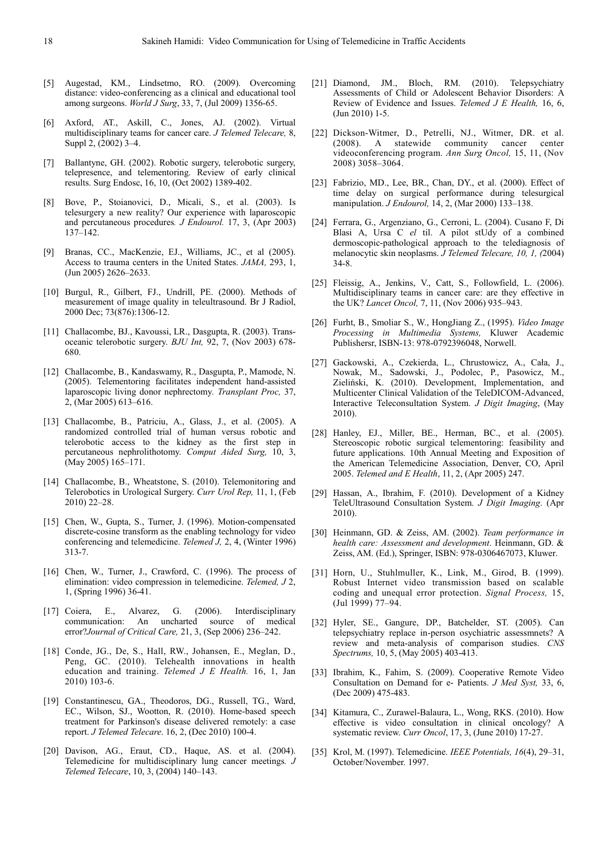- [5] Augestad, KM., Lindsetmo, RO. (2009). Overcoming distance: video-conferencing as a clinical and educational tool among surgeons. *World J Surg*, 33, 7, (Jul 2009) 1356-65.
- [6] Axford, AT., Askill, C., Jones, AJ. (2002). Virtual multidisciplinary teams for cancer care. *J Telemed Telecare,* 8, Suppl 2, (2002) 3–4.
- [7] Ballantyne, GH. (2002). Robotic surgery, telerobotic surgery, telepresence, and telementoring. Review of early clinical results. Surg Endosc, 16, 10, (Oct 2002) 1389-402.
- [8] Bove, P., Stoianovici, D., Micali, S., et al. (2003). Is telesurgery a new reality? Our experience with laparoscopic and percutaneous procedures*. J Endourol.* 17, 3, (Apr 2003) 137–142.
- [9] Branas, CC., MacKenzie, EJ., Williams, JC., et al (2005). Access to trauma centers in the United States. *JAMA,* 293, 1, (Jun 2005) 2626–2633.
- [10] Burgul, R., Gilbert, FJ., Undrill, PE. (2000). Methods of measurement of image quality in teleultrasound. Br J Radiol, 2000 Dec; 73(876):1306-12.
- [11] Challacombe, BJ., Kavoussi, LR., Dasgupta, R. (2003). Transoceanic telerobotic surgery. *BJU Int,* 92, 7, (Nov 2003) 678- 680.
- [12] Challacombe, B., Kandaswamy, R., Dasgupta, P., Mamode, N. (2005). Telementoring facilitates independent hand-assisted laparoscopic living donor nephrectomy*. Transplant Proc,* 37, 2, (Mar 2005) 613–616.
- [13] Challacombe, B., Patriciu, A., Glass, J., et al. (2005). A randomized controlled trial of human versus robotic and telerobotic access to the kidney as the first step in percutaneous nephrolithotomy. *Comput Aided Surg,* 10, 3, (May 2005) 165–171.
- [14] Challacombe, B., Wheatstone, S. (2010). Telemonitoring and Telerobotics in Urological Surgery. *Curr Urol Rep,* 11, 1, (Feb 2010) 22–28.
- [15] Chen, W., Gupta, S., Turner, J. (1996). Motion-compensated discrete-cosine transform as the enabling technology for video conferencing and telemedicine. *Telemed J,* 2, 4, (Winter 1996) 313-7.
- [16] Chen, W., Turner, J., Crawford, C. (1996). The process of elimination: video compression in telemedicine. *Telemed, J* 2, 1, (Spring 1996) 36-41.
- [17] Coiera, E., Alvarez, G. (2006). Interdisciplinary communication: An uncharted source of medical error?*Journal of Critical Care,* 21, 3, (Sep 2006) 236–242.
- [18] Conde, JG., De, S., Hall, RW., Johansen, E., Meglan, D., Peng, GC. (2010). Telehealth innovations in health education and training. *Telemed J E Health.* 16, 1, Jan 2010) 103-6.
- [19] Constantinescu, GA., Theodoros, DG., Russell, TG., Ward, EC., Wilson, SJ., Wootton, R. (2010). Home-based speech treatment for Parkinson's disease delivered remotely: a case report. *J Telemed Telecare*. 16, 2, (Dec 2010) 100-4.
- [20] Davison, AG., Eraut, CD., Haque, AS. et al. (2004). Telemedicine for multidisciplinary lung cancer meetings*. J Telemed Telecare*, 10, 3, (2004) 140–143.
- [21] Diamond, JM., Bloch, RM. (2010). Telepsychiatry Assessments of Child or Adolescent Behavior Disorders: A Review of Evidence and Issues. *Telemed J E Health,* 16, 6, (Jun 2010) 1-5.
- [22] Dickson-Witmer, D., Petrelli, NJ., Witmer, DR. et al. (2008). A statewide community cancer center videoconferencing program. *Ann Surg Oncol,* 15, 11, (Nov 2008) 3058–3064.
- [23] Fabrizio, MD., Lee, BR., Chan, DY., et al. (2000). Effect of time delay on surgical performance during telesurgical manipulation. *J Endourol,* 14, 2, (Mar 2000) 133–138.
- [24] Ferrara, G., Argenziano, G., Cerroni, L. (2004). Cusano F, Di Blasi A, Ursa C *el* til. A pilot stUdy of a combined dermoscopic-pathological approach to the telediagnosis of melanocytic skin neoplasms. *J Telemed Telecare, 10, 1, (*2004) 34-8.
- [25] Fleissig, A., Jenkins, V., Catt, S., Followfield, L. (2006). Multidisciplinary teams in cancer care: are they effective in the UK? *Lancet Oncol,* 7, 11, (Nov 2006) 935–943.
- [26] Furht, B., Smoliar S., W., HongJiang Z., (1995). *Video Image Processing in Multimedia Systems,* Kluwer Academic Publishersr, ISBN-13: 978-0792396048, Norwell.
- [27] Gackowski, A., Czekierda, L., Chrustowicz, A., Cała, J., Nowak, M., Sadowski, J., Podolec, P., Pasowicz, M., Zieliński, K. (2010). Development, Implementation, and Multicenter Clinical Validation of the TeleDICOM-Advanced, Interactive Teleconsultation System. *J Digit Imaging*, (May 2010).
- [28] Hanley, EJ., Miller, BE., Herman, BC., et al. (2005). Stereoscopic robotic surgical telementoring: feasibility and future applications. 10th Annual Meeting and Exposition of the American Telemedicine Association, Denver, CO, April 2005. *Telemed and E Health*, 11, 2, (Apr 2005) 247.
- [29] Hassan, A., Ibrahim, F. (2010). Development of a Kidney TeleUltrasound Consultation System. *J Digit Imaging*. (Apr 2010).
- [30] Heinmann, GD. & Zeiss, AM. (2002). *Team performance in health care: Assessment and development*. Heinmann, GD. & Zeiss, AM. (Ed.), Springer, ISBN: 978-0306467073, Kluwer.
- [31] Horn, U., Stuhlmuller, K., Link, M., Girod, B. (1999). Robust Internet video transmission based on scalable coding and unequal error protection. *Signal Process,* 15, (Jul 1999) 77–94.
- [32] Hyler, SE., Gangure, DP., Batchelder, ST. (2005). Can telepsychiatry replace in-person osychiatric assessmnets? A review and meta-analysis of comparison studies. *CNS Spectrums,* 10, 5, (May 2005) 403-413.
- [33] Ibrahim, K., Fahim, S. (2009). Cooperative Remote Video Consultation on Demand for e- Patients. *J Med Syst,* 33, 6, (Dec 2009) 475-483.
- [34] Kitamura, C., Zurawel-Balaura, L., Wong, RKS. (2010). How effective is video consultation in clinical oncology? A systematic review. *Curr Oncol*, 17, 3, (June 2010) 17-27.
- [35] Krol, M. (1997). Telemedicine. *IEEE Potentials, 16*(4), 29–31, October/November. 1997.